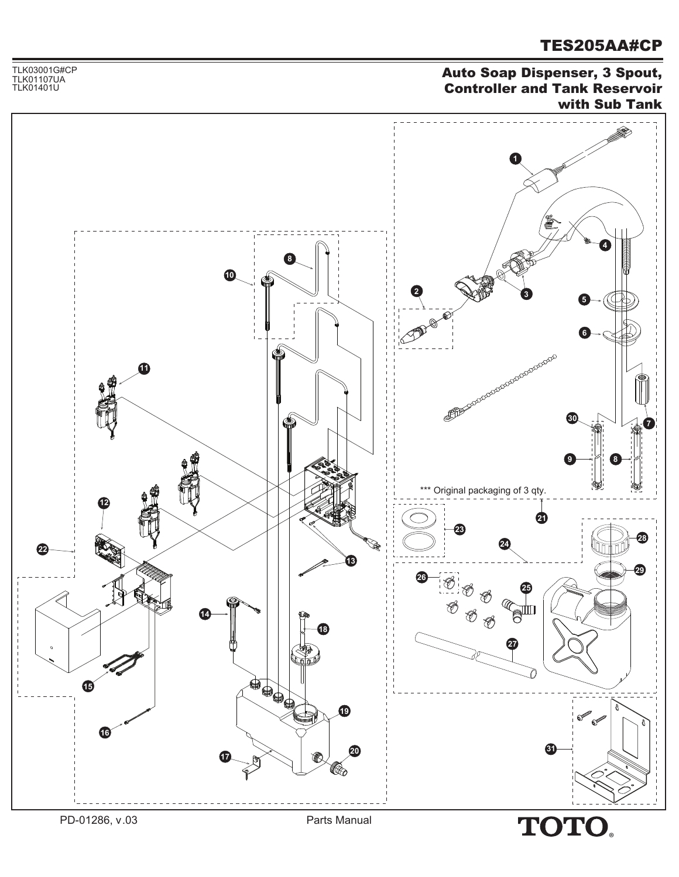Auto Soap Dispenser, 3 Spout, Controller and Tank Reservoir with Sub Tank



TLK03001G#CP

TLK01107UA<br>TLK01401U